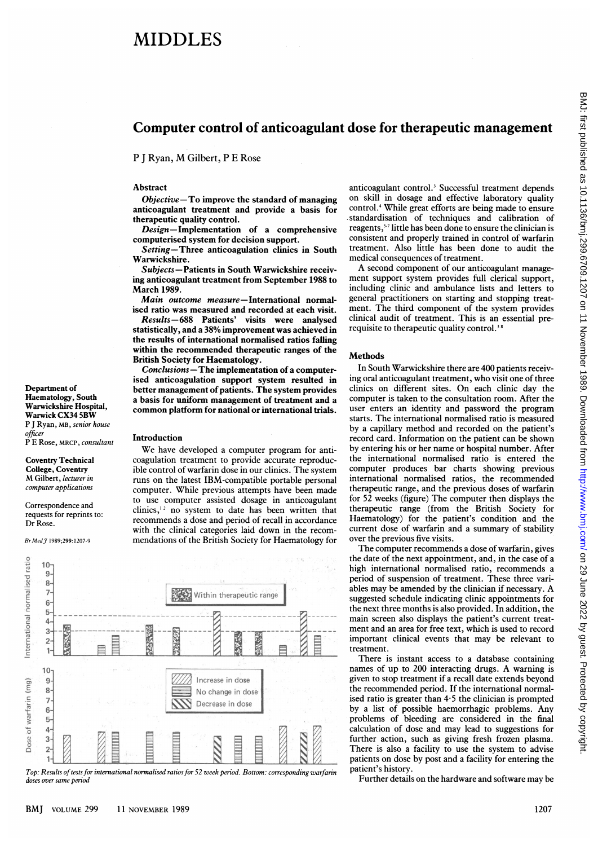# MIDDLES

### Computer control of anticoagulant dose for therapeutic management

<sup>P</sup> <sup>J</sup> Ryan, M Gilbert, <sup>P</sup> <sup>E</sup> Rose

#### Abstract

Objective-To improve the standard of managing anticoagulant treatment and provide a basis for therapeutic quality control.

Design-Implementation of a comprehensive computerised system for decision support.

Setting-Three anticoagulation clinics in South Warwickshire.

Subjects-Patients in South Warwickshire receiving anticoagulant treatment from September 1988 to March 1989.

Main outcome measure-International normalised ratio was measured and recorded at each visit.

Results-688 Patients' visits were analysed statistically, and a 38% improvement was achieved in the results of international normalised ratios failing within the recommended therapeutic ranges of the British Society for Haematology.

Conclusions-The implementation of a computerised anticoagulation support system resulted in better management of patients. The system provides a basis for uniform management of treatment and a common platform for national or international trials.

#### Introduction

We have developed <sup>a</sup> computer program for anticoagulation treatment to provide accurate reproducible control of warfarin dose in our clinics. The system runs on the latest IBM-compatible portable personal computer. While previous attempts have been made to use computer assisted dosage in anticoagulant clinics, $12$  no system to date has been written that recommends a dose and period of recall in accordance with the clinical categories laid down in the recommendations of the British Society for Haematology for



Top: Results of tests for international normalised ratios for 52 week period. Bottom: corresponding warfarin doses over same period

anticoagulant control.<sup>3</sup> Successful treatment depends on skill in dosage and effective laboratory quality control.4 While great efforts are being made to ensure standardisation of techniques and calibration of reagents,<sup>57</sup> little has been done to ensure the clinician is consistent and properly trained in control of warfarin treatment. Also little has been done to audit the medical consequences of treatment.

A second component of our anticoagulant management support system provides full clerical support, including clinic and ambulance lists and letters to general practitioners on starting and stopping treatment. The third component of the system provides clinical audit of treatment. This is an essential prerequisite to therapeutic quality control.<sup>38</sup>

#### **Methods**

In South Warwickshire there are 400 patients receiving oral anticoagulant treatment, who visit one of three clinics on different sites. On each clinic day the computer is taken to the consultation room. After the user enters an identity and password the program starts. The international normalised ratio is measured by a capillary method and recorded on the patient's record card. Information on the patient can be shown by entering his or her name or hospital number. After the international normalised ratio is entered the computer produces bar charts showing previous international normalised ratios, the recommended therapeutic range, and the previous doses of warfarin for 52 weeks (figure) The computer then displays the therapeutic range (from the British Society for Haematology) for the patient's condition and the current dose of warfarin and a summary of stability over the previous five visits.

The computer recommends a dose of warfarin, gives the date of the next appointment, and, in the case of a high international normalised ratio, recommends a period of suspension of treatment. These three variables may be amended by the clinician if necessary. A suggested schedule indicating clinic appointments for the next three months is also provided. In addition, the main screen also displays the patient's current treatment and an area for free text, which is used to record important clinical events that may be relevant to treatment.

There is instant access to a database containing names of up to 200 interacting drugs. A warning is given to stop treatment if a recall date extends beyond the recommended period. If the international normalised ratio is greater than  $4.5$  the clinician is prompted by a list of possible haemorrhagic problems. Any problems of bleeding are considered in the final calculation of dose and may lead to suggestions for further action, such as giving fresh frozen plasma. There is also a facility to use the system to advise patients on dose by post and a facility for entering the patient's history.

Further details on the hardware and software may be

P E Rose, MRCP, consultant Coventry Technical College, Coventry M Gilbert, lecturer in

Br MedJ 1989;299: 1207-9

Department of Haematology, South Warwickshire Hospital, Warwick CX34 5BW P <sup>J</sup> Ryan, MB, senior house

officer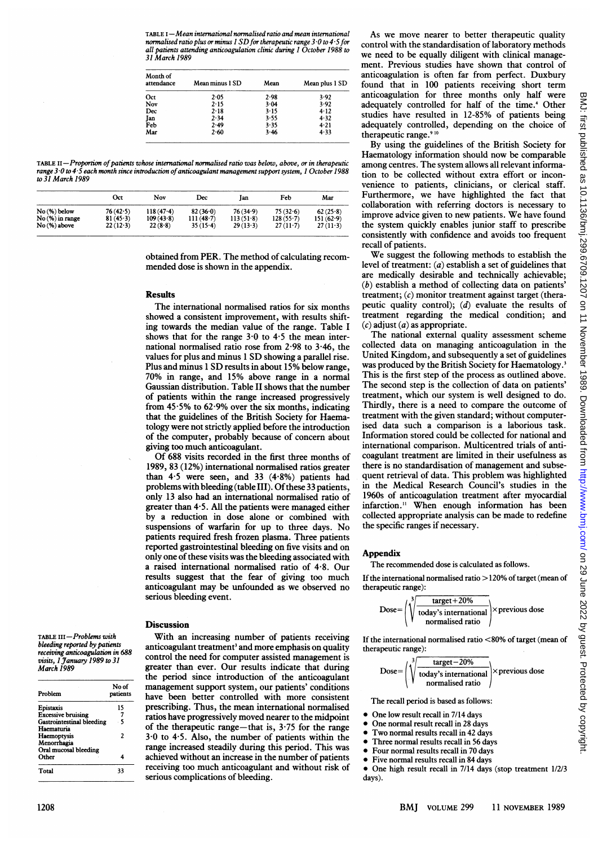| Month of<br>attendance | Mean minus 1 SD | Mean | Mean plus 1 SD |  |
|------------------------|-----------------|------|----------------|--|
| Oct                    | 2.05            | 2.98 | 3.92           |  |
| Nov                    | 2.15            | 3.04 | 3.92           |  |
| Dec                    | 2.18            | 3.15 | 4.12           |  |
| Jan                    | 2.34            | 3.55 | 4.32           |  |
| Feb                    | 2.49            | 3.35 | 4.21           |  |
| Mar                    | 2.60            | 3.46 | 4.33           |  |

TABLE II-Proportion of patients whose international normalised ratio was below, above, or in therapeutic range 3.0 to 4.5 each month since introduction of anticoagulant management support system, 1 October 1988 to 31 March 1989

|                  | Oct        | Nov         | Dec         | lan         | Feb         | Mar        |
|------------------|------------|-------------|-------------|-------------|-------------|------------|
| No(%) below      | 76(42.5)   | $118(47-4)$ | $82(36-0)$  | 76(34.9)    | 75(32.6)    | 62(25.8)   |
| $No(%)$ in range | $81(45-3)$ | 109(43.8)   | $111(48-7)$ | $113(51-8)$ | $128(55-7)$ | 151(62.9)  |
| No(%) above      | $22(12-3)$ | 22(8.8)     | $35(15-4)$  | 29(13.3)    | $27(11-7)$  | $27(11-3)$ |

obtained from PER. The method of calculating recommended dose is shown in the appendix.

#### Results

The international normalised ratios for six months showed a consistent improvement, with results shifting towards the median value of the range. Table <sup>I</sup> shows that for the range  $3.0$  to  $4.5$  the mean international normalised ratio rose from 2-98 to 3-46, the values for plus and minus <sup>1</sup> SD showing <sup>a</sup> parallel rise. Plus and minus <sup>1</sup> SD results in about 15% below range, 70% in range, and 15% above range in a normal Gaussian distribution. Table II shows that the number of patients within the range increased progressively from  $45.5\%$  to  $62.9\%$  over the six months, indicating that the guidelines of the British Society for Haematology were not strictly applied before the introduction of the computer, probably because of concern about giving too much anticoagulant.

Of 688 visits recorded in the first three months of 1989, 83 (12%) international normalised ratios greater than  $4.5$  were seen, and  $33$   $(4.8\%)$  patients had problems with bleeding (table III). Of these 33 patients, only 13 also had an international normalised ratio of greater than 4\*5. All the patients were managed either by a reduction in dose alone or combined with suspensions of warfarin for up to three days. No patients required fresh frozen plasma. Three patients reported gastrointestinal bleeding on five visits and on only one of these visits was the bleeding associated with a raised international normalised ratio of 4.8. Our results suggest that the fear of giving too much anticoagulant may be unfounded as we observed no serious bleeding event.

#### **Discussion**

With an increasing number of patients receiving anticoagulant treatment<sup>3</sup> and more emphasis on quality control the need for computer assisted management is greater than ever. Our results indicate that during the period since introduction of the anticoagulant management support system, our patients' conditions have been better controlled with more consistent prescribing. Thus, the mean international normalised ratios have progressively moved nearer to the midpoint of the therapeutic range—that is,  $3.75$  for the range 3 0 to 4 5. Also, the number of patients within the range increased steadily during this period. This was achieved without an increase in the number of patients receiving too much anticoagulant and without risk of serious complications of bleeding.

As we move nearer to better therapeutic quality control with the standardisation of laboratory methods we need to be equally diligent with clinical management. Previous studies have shown that control of anticoagulation is often far from perfect. Duxbury found that in 100 patients receiving short term anticoagulation for three months only half were adequately controlled for half of the time.<sup>4</sup> Other studies have resulted in 12-85% of patients being adequately controlled, depending on the choice of therapeutic range.<sup>910</sup>

By using the guidelines of the British Society for Haematology information should now be comparable among centres. The system allows all relevant information to be collected without extra effort or inconvenience to patients, clinicians, or clerical staff. Furthermore, we have highlighted the fact that collaboration with referring doctors is necessary to improve advice given to new patients. We have found the system quickly enables junior staff to prescribe consistently with confidence and avoids too frequent recall of patients.

We suggest the following methods to establish the level of treatment: (a) establish a set of guidelines that are medically desirable and technically achievable; (b) establish a method of collecting data on patients' treatment;  $(c)$  monitor treatment against target (therapeutic quality control);  $(d)$  evaluate the results of treatment regarding the medical condition; and  $(c)$  adjust  $(a)$  as appropriate.

The national external quality assessment scheme collected data on managing anticoagulation in the United Kingdom, and subsequently a set of guidelines was produced by the British Society for Haematology.<sup>3</sup> This is the first step of the process as outlined above. The second step is the collection of data on patients' treatment, which our system is well designed to do. Thirdly, there is a need to compare the outcome of treatment with the given standard; without computerised data such a comparison is a laborious task. Information stored could be collected for national and international comparison. Multicentred trials of anticoagulant treatment are limited in their usefulness as there is no standardisation of management and subsequent retrieval of data. This problem was highlighted in the Medical Research Council's studies in the 1960s of anticoagulation treatment after myocardial infarction."1 When enough information has been collected appropriate analysis can be made to redefine the specific ranges if necessary.

#### **Appendix**

The recommended dose is calculated as follows.

If the international normalised ratio > 120% of target (mean of therapeutic range):

$$
Dose = \left(\sqrt[3]{\frac{\text{target} + 20\%}{\text{today's international}}}\right) \times previous dose\n\nonormalised ratio
$$

If the international normalised ratio  $< 80\%$  of target (mean of therapeutic range):

$$
Dose = \left(\sqrt[3]{\frac{\text{target} - 20\%}{\text{today's international}}}\right) \times previous dose\n\nnormalised ratio
$$

The recall period is based as follows:

- $\bullet$  One low result recall in 7/14 days
- One normal result recall in 28 days
- Two normal results recall in 42 days
- Three normal results recall in 56 days
- Four normal results recall in 70 days
- Five normal results recall in 84 days
- One high result recall in 7/14 days (stop treatment 1/2/3 days).

| Problem                          | No of<br>patients       |
|----------------------------------|-------------------------|
| Epistaxis                        | 15                      |
| <b>Excessive bruising</b>        | 7                       |
| <b>Gastrointestinal bleeding</b> | - 5                     |
| Haematuria                       |                         |
| Haemoptysis                      | $\overline{\mathbf{c}}$ |
| Menorrhagia                      |                         |
| Oral mucosal bleeding            |                         |
| Other                            | 4                       |
| Total                            | 33                      |

BMJ: first published as